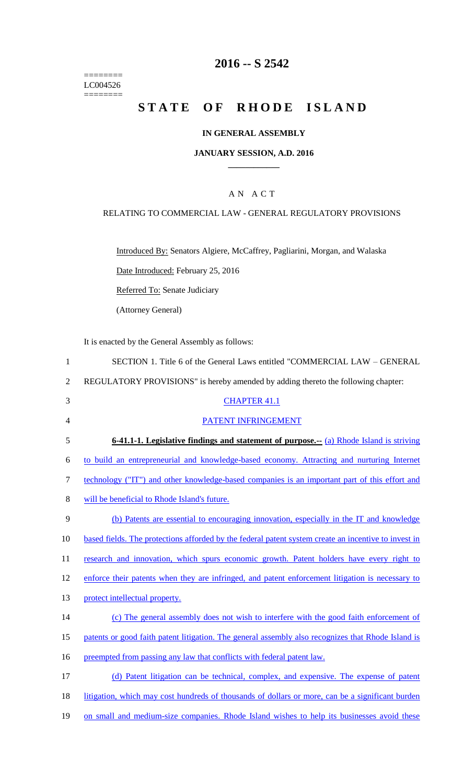======== LC004526  $=$ 

# **2016 -- S 2542**

# **STATE OF RHODE ISLAND**

### **IN GENERAL ASSEMBLY**

### **JANUARY SESSION, A.D. 2016 \_\_\_\_\_\_\_\_\_\_\_\_**

### A N A C T

### RELATING TO COMMERCIAL LAW - GENERAL REGULATORY PROVISIONS

Introduced By: Senators Algiere, McCaffrey, Pagliarini, Morgan, and Walaska

Date Introduced: February 25, 2016

Referred To: Senate Judiciary

(Attorney General)

It is enacted by the General Assembly as follows:

| $\mathbf{1}$   | SECTION 1. Title 6 of the General Laws entitled "COMMERCIAL LAW – GENERAL                            |
|----------------|------------------------------------------------------------------------------------------------------|
| $\overline{2}$ | REGULATORY PROVISIONS" is hereby amended by adding thereto the following chapter:                    |
| 3              | <b>CHAPTER 41.1</b>                                                                                  |
| 4              | PATENT INFRINGEMENT                                                                                  |
| 5              | <b>6-41.1-1. Legislative findings and statement of purpose.</b> -- (a) Rhode Island is striving      |
| 6              | to build an entrepreneurial and knowledge-based economy. Attracting and nurturing Internet           |
| 7              | technology ("IT") and other knowledge-based companies is an important part of this effort and        |
| 8              | will be beneficial to Rhode Island's future.                                                         |
| 9              | (b) Patents are essential to encouraging innovation, especially in the IT and knowledge              |
| 10             | based fields. The protections afforded by the federal patent system create an incentive to invest in |
| 11             | research and innovation, which spurs economic growth. Patent holders have every right to             |
| 12             | enforce their patents when they are infringed, and patent enforcement litigation is necessary to     |
| 13             | protect intellectual property.                                                                       |
| 14             | (c) The general assembly does not wish to interfere with the good faith enforcement of               |
| 15             | patents or good faith patent litigation. The general assembly also recognizes that Rhode Island is   |
| 16             | preempted from passing any law that conflicts with federal patent law.                               |
| 17             | (d) Patent litigation can be technical, complex, and expensive. The expense of patent                |
| 18             | litigation, which may cost hundreds of thousands of dollars or more, can be a significant burden     |
| 19             | on small and medium-size companies. Rhode Island wishes to help its businesses avoid these           |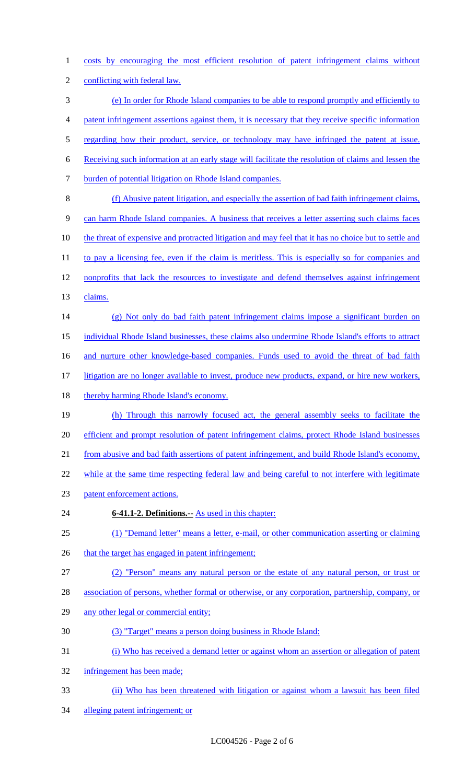costs by encouraging the most efficient resolution of patent infringement claims without conflicting with federal law. (e) In order for Rhode Island companies to be able to respond promptly and efficiently to patent infringement assertions against them, it is necessary that they receive specific information 5 regarding how their product, service, or technology may have infringed the patent at issue. Receiving such information at an early stage will facilitate the resolution of claims and lessen the burden of potential litigation on Rhode Island companies. (f) Abusive patent litigation, and especially the assertion of bad faith infringement claims, can harm Rhode Island companies. A business that receives a letter asserting such claims faces 10 the threat of expensive and protracted litigation and may feel that it has no choice but to settle and 11 to pay a licensing fee, even if the claim is meritless. This is especially so for companies and 12 nonprofits that lack the resources to investigate and defend themselves against infringement claims. (g) Not only do bad faith patent infringement claims impose a significant burden on individual Rhode Island businesses, these claims also undermine Rhode Island's efforts to attract 16 and nurture other knowledge-based companies. Funds used to avoid the threat of bad faith litigation are no longer available to invest, produce new products, expand, or hire new workers, 18 thereby harming Rhode Island's economy. (h) Through this narrowly focused act, the general assembly seeks to facilitate the efficient and prompt resolution of patent infringement claims, protect Rhode Island businesses from abusive and bad faith assertions of patent infringement, and build Rhode Island's economy, 22 while at the same time respecting federal law and being careful to not interfere with legitimate

- patent enforcement actions.
- **6-41.1-2. Definitions.--** As used in this chapter:

(1) "Demand letter" means a letter, e-mail, or other communication asserting or claiming

- 26 that the target has engaged in patent infringement;
- (2) "Person" means any natural person or the estate of any natural person, or trust or
- association of persons, whether formal or otherwise, or any corporation, partnership, company, or
- any other legal or commercial entity;
- (3) "Target" means a person doing business in Rhode Island:
- (i) Who has received a demand letter or against whom an assertion or allegation of patent
- infringement has been made;
- (ii) Who has been threatened with litigation or against whom a lawsuit has been filed
- alleging patent infringement; or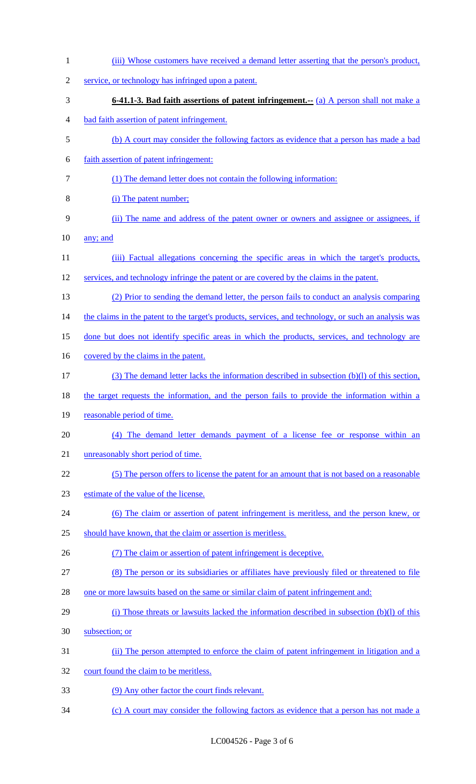| $\mathbf{1}$   | (iii) Whose customers have received a demand letter asserting that the person's product,             |
|----------------|------------------------------------------------------------------------------------------------------|
| $\overline{2}$ | service, or technology has infringed upon a patent.                                                  |
| 3              | <b>6-41.1-3. Bad faith assertions of patent infringement.</b> - (a) A person shall not make a        |
| 4              | bad faith assertion of patent infringement.                                                          |
| 5              | (b) A court may consider the following factors as evidence that a person has made a bad              |
| 6              | faith assertion of patent infringement:                                                              |
| 7              | (1) The demand letter does not contain the following information:                                    |
| 8              | (i) The patent number;                                                                               |
| 9              | (ii) The name and address of the patent owner or owners and assignee or assignees, if                |
| 10             | any; and                                                                                             |
| 11             | (iii) Factual allegations concerning the specific areas in which the target's products,              |
| 12             | services, and technology infringe the patent or are covered by the claims in the patent.             |
| 13             | (2) Prior to sending the demand letter, the person fails to conduct an analysis comparing            |
| 14             | the claims in the patent to the target's products, services, and technology, or such an analysis was |
| 15             | done but does not identify specific areas in which the products, services, and technology are        |
| 16             | covered by the claims in the patent.                                                                 |
| 17             | (3) The demand letter lacks the information described in subsection (b)(l) of this section,          |
| 18             | the target requests the information, and the person fails to provide the information within a        |
| 19             | reasonable period of time.                                                                           |
| 20             | The demand letter demands payment of a license fee or response within an<br>(4)                      |
| 21             | unreasonably short period of time.                                                                   |
| 22             | (5) The person offers to license the patent for an amount that is not based on a reasonable          |
| 23             | estimate of the value of the license.                                                                |
| 24             | (6) The claim or assertion of patent infringement is meritless, and the person knew, or              |
| 25             | should have known, that the claim or assertion is meritless.                                         |
| 26             | (7) The claim or assertion of patent infringement is deceptive.                                      |
| 27             | (8) The person or its subsidiaries or affiliates have previously filed or threatened to file         |
| 28             | one or more lawsuits based on the same or similar claim of patent infringement and:                  |
| 29             | (i) Those threats or lawsuits lacked the information described in subsection $(b)(l)$ of this        |
| 30             | subsection; or                                                                                       |
| 31             | (ii) The person attempted to enforce the claim of patent infringement in litigation and a            |
| 32             | court found the claim to be meritless.                                                               |
| 33             | (9) Any other factor the court finds relevant.                                                       |
| 34             | (c) A court may consider the following factors as evidence that a person has not made a              |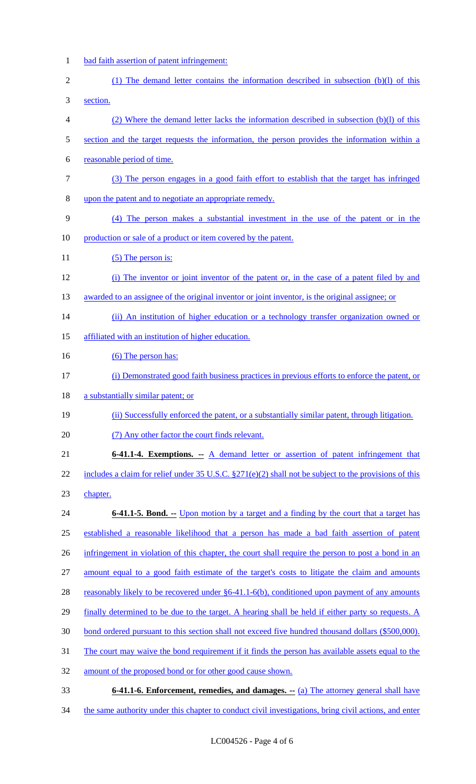- bad faith assertion of patent infringement: 2 (1) The demand letter contains the information described in subsection (b)(l) of this section. (2) Where the demand letter lacks the information described in subsection (b)(l) of this section and the target requests the information, the person provides the information within a reasonable period of time. (3) The person engages in a good faith effort to establish that the target has infringed upon the patent and to negotiate an appropriate remedy. (4) The person makes a substantial investment in the use of the patent or in the 10 production or sale of a product or item covered by the patent. 11 (5) The person is: (i) The inventor or joint inventor of the patent or, in the case of a patent filed by and 13 awarded to an assignee of the original inventor or joint inventor, is the original assignee; or 14 (ii) An institution of higher education or a technology transfer organization owned or affiliated with an institution of higher education. 16 (6) The person has: (i) Demonstrated good faith business practices in previous efforts to enforce the patent, or 18 a substantially similar patent; or (ii) Successfully enforced the patent, or a substantially similar patent, through litigation. (7) Any other factor the court finds relevant. **6-41.1-4. Exemptions. --** A demand letter or assertion of patent infringement that 22 includes a claim for relief under 35 U.S.C. §271(e)(2) shall not be subject to the provisions of this chapter. **6-41.1-5. Bond.** -- Upon motion by a target and a finding by the court that a target has established a reasonable likelihood that a person has made a bad faith assertion of patent 26 infringement in violation of this chapter, the court shall require the person to post a bond in an amount equal to a good faith estimate of the target's costs to litigate the claim and amounts 28 reasonably likely to be recovered under §6-41.1-6(b), conditioned upon payment of any amounts finally determined to be due to the target. A hearing shall be held if either party so requests. A 30 bond ordered pursuant to this section shall not exceed five hundred thousand dollars (\$500,000). The court may waive the bond requirement if it finds the person has available assets equal to the amount of the proposed bond or for other good cause shown.
- **6-41.1-6. Enforcement, remedies, and damages. --** (a) The attorney general shall have
- 34 the same authority under this chapter to conduct civil investigations, bring civil actions, and enter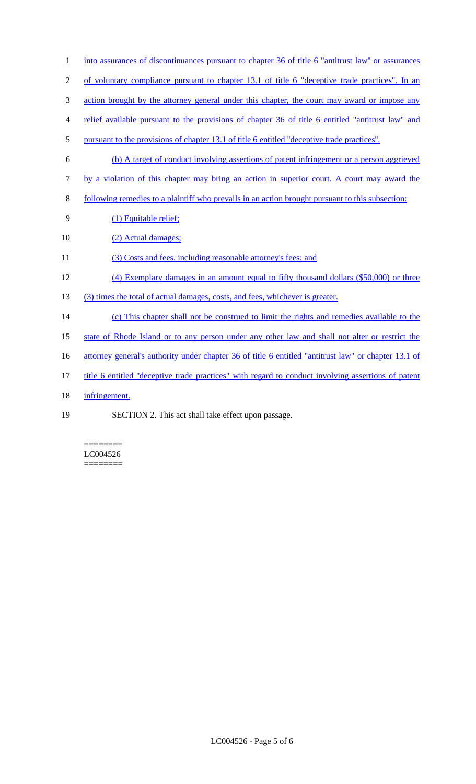- 1 into assurances of discontinuances pursuant to chapter 36 of title 6 "antitrust law" or assurances
- 2 of voluntary compliance pursuant to chapter 13.1 of title 6 "deceptive trade practices". In an
- 3 action brought by the attorney general under this chapter, the court may award or impose any
- 4 relief available pursuant to the provisions of chapter 36 of title 6 entitled "antitrust law" and
- 5 pursuant to the provisions of chapter 13.1 of title 6 entitled ''deceptive trade practices''.
- 6 (b) A target of conduct involving assertions of patent infringement or a person aggrieved
- 7 by a violation of this chapter may bring an action in superior court. A court may award the
- 8 following remedies to a plaintiff who prevails in an action brought pursuant to this subsection:
- 9 (1) Equitable relief;
- 10 (2) Actual damages;
- 11 (3) Costs and fees, including reasonable attorney's fees; and
- 12 (4) Exemplary damages in an amount equal to fifty thousand dollars (\$50,000) or three
- 13 (3) times the total of actual damages, costs, and fees, whichever is greater.
- 14 (c) This chapter shall not be construed to limit the rights and remedies available to the
- 15 state of Rhode Island or to any person under any other law and shall not alter or restrict the
- 16 attorney general's authority under chapter 36 of title 6 entitled "antitrust law" or chapter 13.1 of
- 17 title 6 entitled ''deceptive trade practices" with regard to conduct involving assertions of patent
- 18 infringement.
- 19 SECTION 2. This act shall take effect upon passage.

======== LC004526 ========